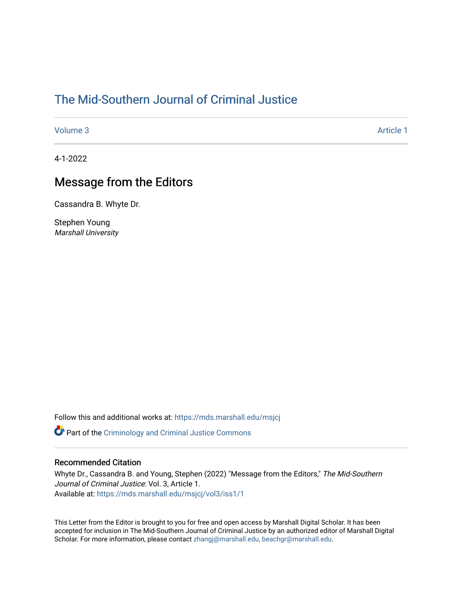## [The Mid-Southern Journal of Criminal Justice](https://mds.marshall.edu/msjcj)

[Volume 3](https://mds.marshall.edu/msjcj/vol3) Article 1

4-1-2022

## Message from the Editors

Cassandra B. Whyte Dr.

Stephen Young Marshall University

Follow this and additional works at: [https://mds.marshall.edu/msjcj](https://mds.marshall.edu/msjcj?utm_source=mds.marshall.edu%2Fmsjcj%2Fvol3%2Fiss1%2F1&utm_medium=PDF&utm_campaign=PDFCoverPages)

**C** Part of the [Criminology and Criminal Justice Commons](http://network.bepress.com/hgg/discipline/367?utm_source=mds.marshall.edu%2Fmsjcj%2Fvol3%2Fiss1%2F1&utm_medium=PDF&utm_campaign=PDFCoverPages)

## Recommended Citation

Whyte Dr., Cassandra B. and Young, Stephen (2022) "Message from the Editors," The Mid-Southern Journal of Criminal Justice: Vol. 3, Article 1. Available at: [https://mds.marshall.edu/msjcj/vol3/iss1/1](https://mds.marshall.edu/msjcj/vol3/iss1/1?utm_source=mds.marshall.edu%2Fmsjcj%2Fvol3%2Fiss1%2F1&utm_medium=PDF&utm_campaign=PDFCoverPages)

This Letter from the Editor is brought to you for free and open access by Marshall Digital Scholar. It has been accepted for inclusion in The Mid-Southern Journal of Criminal Justice by an authorized editor of Marshall Digital Scholar. For more information, please contact [zhangj@marshall.edu, beachgr@marshall.edu.](mailto:zhangj@marshall.edu,%20beachgr@marshall.edu)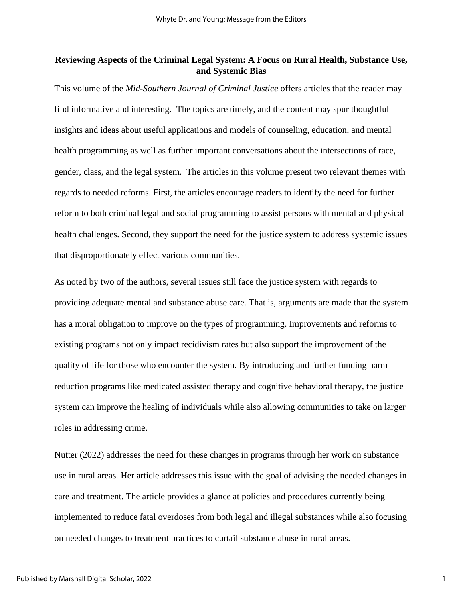## **Reviewing Aspects of the Criminal Legal System: A Focus on Rural Health, Substance Use, and Systemic Bias**

This volume of the *Mid-Southern Journal of Criminal Justice* offers articles that the reader may find informative and interesting. The topics are timely, and the content may spur thoughtful insights and ideas about useful applications and models of counseling, education, and mental health programming as well as further important conversations about the intersections of race, gender, class, and the legal system. The articles in this volume present two relevant themes with regards to needed reforms. First, the articles encourage readers to identify the need for further reform to both criminal legal and social programming to assist persons with mental and physical health challenges. Second, they support the need for the justice system to address systemic issues that disproportionately effect various communities.

As noted by two of the authors, several issues still face the justice system with regards to providing adequate mental and substance abuse care. That is, arguments are made that the system has a moral obligation to improve on the types of programming. Improvements and reforms to existing programs not only impact recidivism rates but also support the improvement of the quality of life for those who encounter the system. By introducing and further funding harm reduction programs like medicated assisted therapy and cognitive behavioral therapy, the justice system can improve the healing of individuals while also allowing communities to take on larger roles in addressing crime.

Nutter (2022) addresses the need for these changes in programs through her work on substance use in rural areas. Her article addresses this issue with the goal of advising the needed changes in care and treatment. The article provides a glance at policies and procedures currently being implemented to reduce fatal overdoses from both legal and illegal substances while also focusing on needed changes to treatment practices to curtail substance abuse in rural areas.

1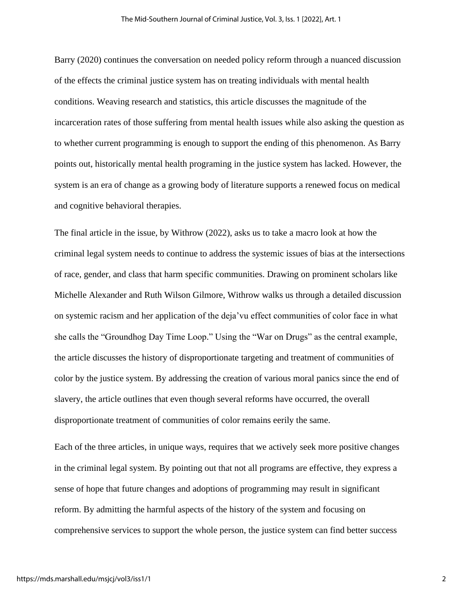Barry (2020) continues the conversation on needed policy reform through a nuanced discussion of the effects the criminal justice system has on treating individuals with mental health conditions. Weaving research and statistics, this article discusses the magnitude of the incarceration rates of those suffering from mental health issues while also asking the question as to whether current programming is enough to support the ending of this phenomenon. As Barry points out, historically mental health programing in the justice system has lacked. However, the system is an era of change as a growing body of literature supports a renewed focus on medical and cognitive behavioral therapies.

The final article in the issue, by Withrow (2022), asks us to take a macro look at how the criminal legal system needs to continue to address the systemic issues of bias at the intersections of race, gender, and class that harm specific communities. Drawing on prominent scholars like Michelle Alexander and Ruth Wilson Gilmore, Withrow walks us through a detailed discussion on systemic racism and her application of the deja'vu effect communities of color face in what she calls the "Groundhog Day Time Loop." Using the "War on Drugs" as the central example, the article discusses the history of disproportionate targeting and treatment of communities of color by the justice system. By addressing the creation of various moral panics since the end of slavery, the article outlines that even though several reforms have occurred, the overall disproportionate treatment of communities of color remains eerily the same.

Each of the three articles, in unique ways, requires that we actively seek more positive changes in the criminal legal system. By pointing out that not all programs are effective, they express a sense of hope that future changes and adoptions of programming may result in significant reform. By admitting the harmful aspects of the history of the system and focusing on comprehensive services to support the whole person, the justice system can find better success

2